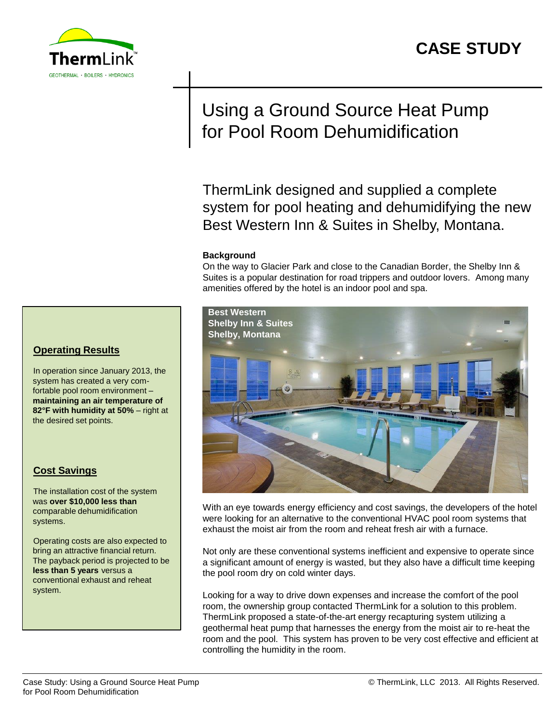

# Using a Ground Source Heat Pump for Pool Room Dehumidification

ThermLink designed and supplied a complete system for pool heating and dehumidifying the new Best Western Inn & Suites in Shelby, Montana.

### **Background**

On the way to Glacier Park and close to the Canadian Border, the Shelby Inn & Suites is a popular destination for road trippers and outdoor lovers. Among many amenities offered by the hotel is an indoor pool and spa.



With an eye towards energy efficiency and cost savings, the developers of the hotel were looking for an alternative to the conventional HVAC pool room systems that exhaust the moist air from the room and reheat fresh air with a furnace.

Not only are these conventional systems inefficient and expensive to operate since a significant amount of energy is wasted, but they also have a difficult time keeping the pool room dry on cold winter days.

Looking for a way to drive down expenses and increase the comfort of the pool room, the ownership group contacted ThermLink for a solution to this problem. ThermLink proposed a state-of-the-art energy recapturing system utilizing a geothermal heat pump that harnesses the energy from the moist air to re-heat the room and the pool. This system has proven to be very cost effective and efficient at controlling the humidity in the room.

### **Operating Results**

In operation since January 2013, the system has created a very comfortable pool room environment – **maintaining an air temperature of 82°F with humidity at 50%** – right at the desired set points.

### **Cost Savings**

The installation cost of the system was **over \$10,000 less than**  comparable dehumidification systems.

Operating costs are also expected to bring an attractive financial return. The payback period is projected to be **less than 5 years** versus a conventional exhaust and reheat system.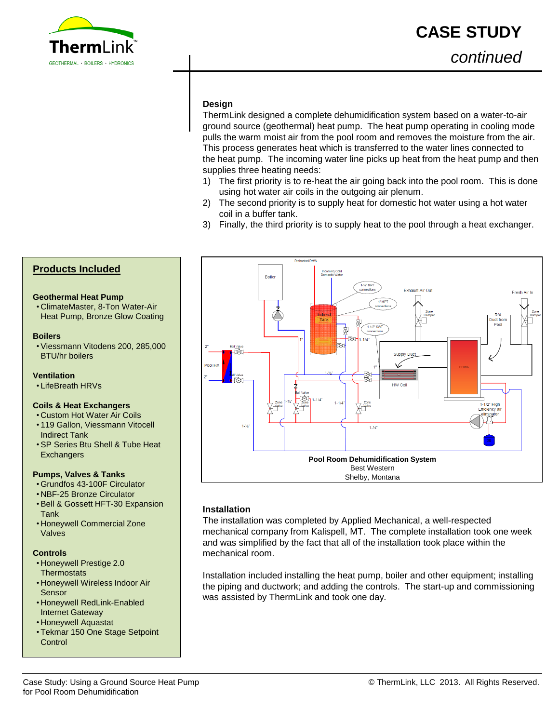

### **Design**

ThermLink designed a complete dehumidification system based on a water-to-air ground source (geothermal) heat pump. The heat pump operating in cooling mode pulls the warm moist air from the pool room and removes the moisture from the air. This process generates heat which is transferred to the water lines connected to the heat pump. The incoming water line picks up heat from the heat pump and then supplies three heating needs:

- 1) The first priority is to re-heat the air going back into the pool room. This is done using hot water air coils in the outgoing air plenum.
- 2) The second priority is to supply heat for domestic hot water using a hot water coil in a buffer tank.
- 3) Finally, the third priority is to supply heat to the pool through a heat exchanger.



**Boilers**

- **Ventilation**
- LifeBreath HRVs

BTU/hr boilers

#### **Coils & Heat Exchangers**

**Geothermal Heat Pump**

**Products Included**

• ClimateMaster, 8-Ton Water-Air Heat Pump, Bronze Glow Coating

•Viessmann Vitodens 200, 285,000

- Custom Hot Water Air Coils
- 119 Gallon, Viessmann Vitocell Indirect Tank
- •SP Series Btu Shell & Tube Heat **Exchangers**

#### **Pumps, Valves & Tanks**

- Grundfos 43-100F Circulator
- NBF-25 Bronze Circulator
- •Bell & Gossett HFT-30 Expansion Tank
- Honeywell Commercial Zone Valves

#### **Controls**

- Honeywell Prestige 2.0 **Thermostats**
- Honeywell Wireless Indoor Air Sensor
- Honeywell RedLink-Enabled Internet Gateway
- Honeywell Aquastat
- Tekmar 150 One Stage Setpoint **Control**

### **Installation**

The installation was completed by Applied Mechanical, a well-respected mechanical company from Kalispell, MT. The complete installation took one week and was simplified by the fact that all of the installation took place within the mechanical room.

Installation included installing the heat pump, boiler and other equipment; installing the piping and ductwork; and adding the controls. The start-up and commissioning was assisted by ThermLink and took one day.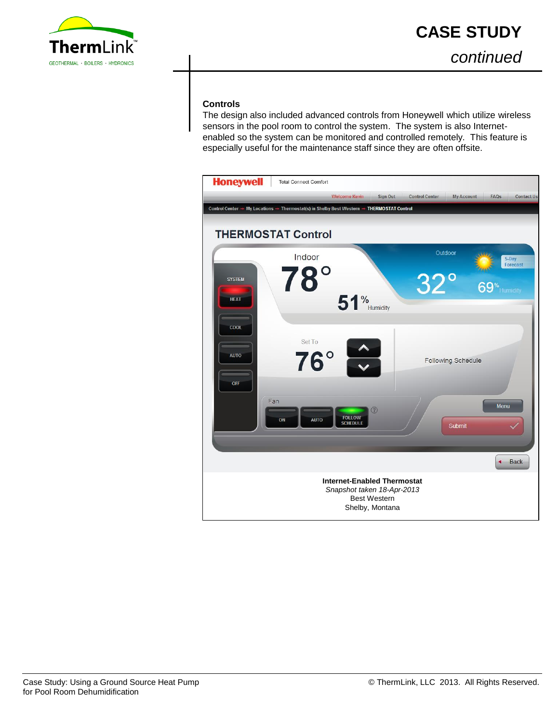

*continued*

### **Controls**

The design also included advanced controls from Honeywell which utilize wireless sensors in the pool room to control the system. The system is also Internetenabled so the system can be monitored and controlled remotely. This feature is especially useful for the maintenance staff since they are often offsite.

| <b>Honeywell</b><br><b>Total Connect Comfort</b><br><b>Welcome Kevin</b><br>Sign Out<br><b>Control Center</b><br><b>My Account</b><br><b>FAQs</b><br><b>Contact Us</b> |
|------------------------------------------------------------------------------------------------------------------------------------------------------------------------|
| Control Center → My Locations → Thermostat(s) in Shelby Best Western → THERMOSTAT Control                                                                              |
| <b>THERMOSTAT Control</b>                                                                                                                                              |
| Outdoor<br>Indoor<br>5-Day                                                                                                                                             |
| Forecast<br>78<br>32<br><b>SYSTEM</b><br>69 <sup>%</sup> Humidity<br>$51\%$ Humidity<br><b>HEAT</b>                                                                    |
| COOL<br>Set To<br>$76^\circ$<br><b>AUTO</b><br><b>Following Schedule</b><br>OFF                                                                                        |
| Fan<br><b>Menu</b><br>$\odot$<br><b>FOLLOW</b><br><b>AUTO</b><br>ON<br><b>SCHEDULE</b><br>Submit                                                                       |
| <b>Back</b><br>٠                                                                                                                                                       |
| <b>Internet-Enabled Thermostat</b><br>Snapshot taken 18-Apr-2013<br><b>Best Western</b><br>Shelby, Montana                                                             |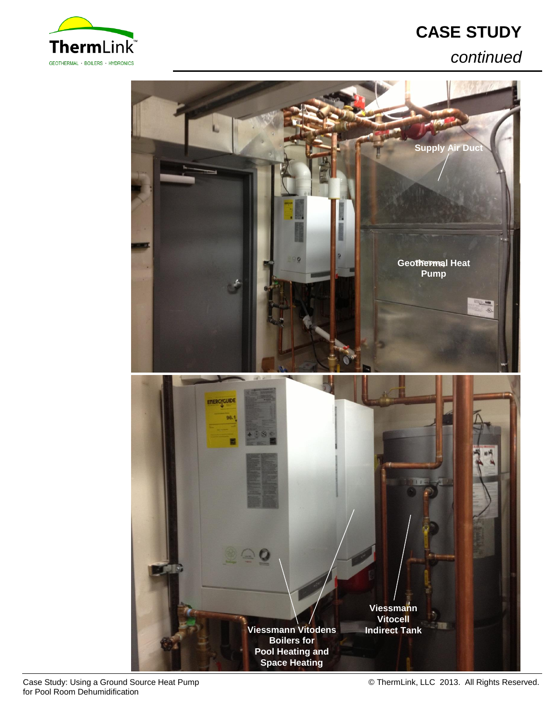

## *continued*



Case Study: Using a Ground Source Heat Pump for Pool Room Dehumidification

© ThermLink, LLC 2013. All Rights Reserved.